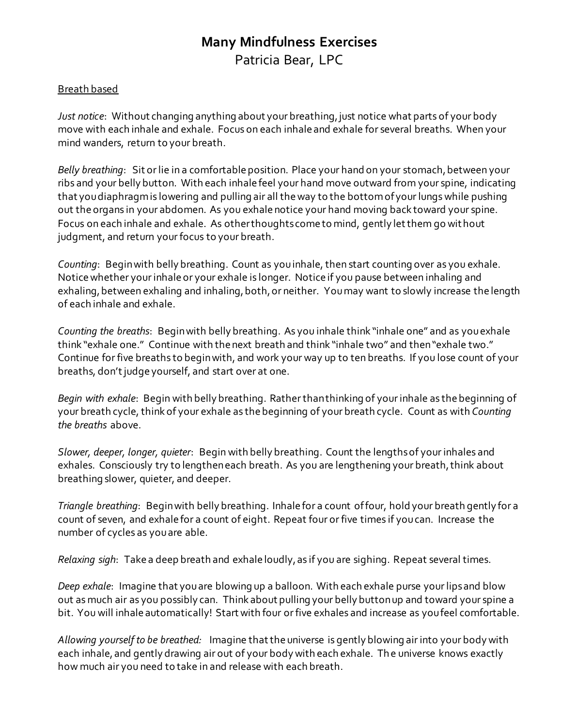# **Many Mindfulness Exercises**  Patricia Bear, LPC

### Breath based

*Just notice*: Without changing anything about your breathing, just notice what parts of your body move with each inhale and exhale. Focus on each inhale and exhale for several breaths. When your mind wanders, return to your breath.

*Belly breathing*: Sit or lie in a comfortable position. Place your hand on your stomach, between your ribs and your belly button. With each inhale feel your hand move outward from your spine, indicating that you diaphragm is lowering and pulling air all the way to the bottom of your lungs while pushing out the organs in your abdomen. As you exhale notice your hand moving back toward your spine. Focus on each inhale and exhale. As other thoughts come to mind, gently let them go wit hout judgment, and return your focus to your breath.

*Counting*: Begin with belly breathing. Count as you inhale, then start counting over as you exhale. Notice whether your inhale or your exhale is longer. Notice if you pause between inhaling and exhaling, between exhaling and inhaling, both, or neither. You may want to slowly increase the length of each inhale and exhale.

*Counting the breaths*: Begin with belly breathing. As you inhale think "inhale one" and as you exhale think "exhale one." Continue with the next breath and think "inhale two" and then "exhale two." Continue for five breaths to begin with, and work your way up to ten breaths. If you lose count of your breaths, don't judge yourself, and start over at one.

*Begin with exhale*: Begin with belly breathing. Rather than thinking of your inhale as the beginning of your breath cycle, think of your exhale as the beginning of your breath cycle. Count as with *Counting the breaths* above.

*Slower, deeper, longer, quieter*: Begin with belly breathing. Count the lengths of your inhales and exhales. Consciously try to lengthen each breath. As you are lengthening your breath, think about breathing slower, quieter, and deeper.

*Triangle breathing*: Begin with belly breathing. Inhale for a count of four, hold your breath gently for a count of seven, and exhale for a count of eight. Repeat four or five times if you can. Increase the number of cycles as you are able.

*Relaxing sigh*: Take a deep breath and exhale loudly, as if you are sighing. Repeat several times.

*Deep exhale*: Imagine that you are blowing up a balloon. With each exhale purse your lips and blow out as much air as you possibly can. Think about pulling your belly button up and toward your spine a bit. You will inhale automatically! Start with four or five exhales and increase as you feel comfortable.

*Allowing yourself to be breathed:* Imagine that the universe is gently blowing air into your body with each inhale, and gently drawing air out of your body with each exhale. The universe knows exactly how much air you need to take in and release with each breath.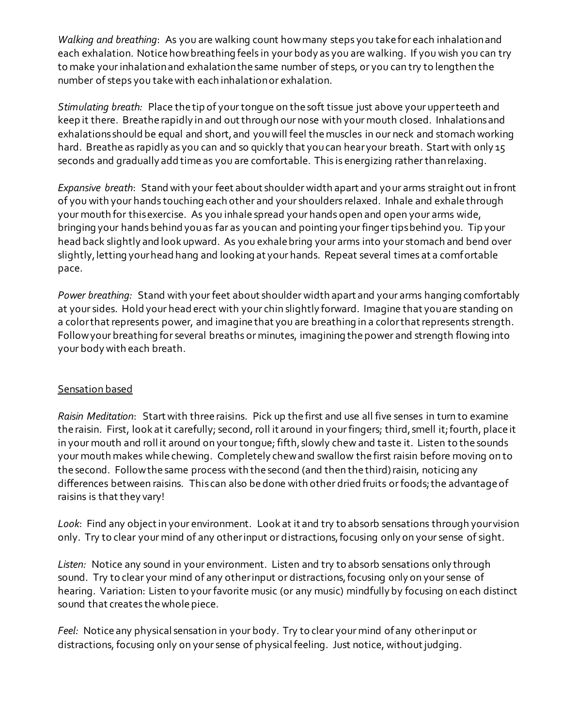*Walking and breathing*: As you are walking count how many steps you take for each inhalation and each exhalation. Notice how breathing feels in your body as you are walking. If you wish you can try to make your inhalation and exhalation the same number of steps, or you can try to lengthen the number of steps you take with each inhalation or exhalation.

*Stimulating breath:* Place the tip of your tongue on the soft tissue just above your upper teeth and keep it there. Breathe rapidly in and out through our nose with your mouth closed. Inhalations and exhalations should be equal and short, and you will feel the muscles in our neck and stomach working hard. Breathe as rapidly as you can and so quickly that you can hear your breath. Start with only 15 seconds and gradually add time as you are comfortable. This is energizing rather than relaxing.

*Expansive breath*: Stand with your feet about shoulder width apart and your arms straight out in front of you with your hands touching each other and your shoulders relaxed. Inhale and exhale through your mouth for this exercise. As you inhale spread your hands open and open your arms wide, bringing your hands behind you as far as you can and pointing your finger tips behind you. Tip your head back slightly and look upward. As you exhale bring your arms into your stomach and bend over slightly, letting your head hang and looking at your hands. Repeat several times at a comfortable pace.

*Power breathing:* Stand with your feet about shoulder width apart and your arms hanging comfortably at your sides. Hold your head erect with your chin slightly forward. Imagine that you are standing on a color that represents power, and imagine that you are breathing in a color that represents strength. Follow your breathing for several breaths or minutes, imagining the power and strength flowing into your body with each breath.

# Sensation based

*Raisin Meditation*: Start with three raisins. Pick up the first and use all five senses in turn to examine the raisin. First, look at it carefully; second, roll it around in your fingers; third, smell it; fourth, place it in your mouth and roll it around on your tongue; fifth, slowly chew and taste it. Listen to the sounds your mouth makes while chewing. Completely chew and swallow the first raisin before moving on to the second. Follow the same process with the second (and then the third) raisin, noticing any differences between raisins. This can also be done with other dried fruits or foods; the advantage of raisins is that they vary!

*Look*: Find any object in your environment. Look at it and try to absorb sensations through your vision only. Try to clear your mind of any other input or distractions, focusing only on your sense of sight.

*Listen:* Notice any sound in your environment. Listen and try to absorb sensations only through sound. Try to clear your mind of any other input or distractions, focusing only on your sense of hearing. Variation: Listen to your favorite music (or any music) mindfully by focusing on each distinct sound that creates the whole piece.

*Feel:* Notice any physical sensation in your body. Try to clear your mind of any other input or distractions, focusing only on your sense of physical feeling. Just notice, without judging.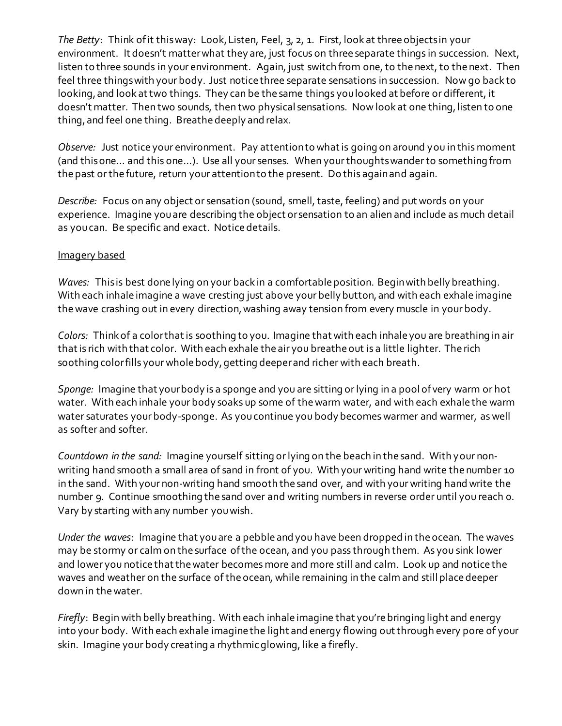*The Betty*: Think of it this way: Look, Listen, Feel, 3, 2, 1. First, look at three objects in your environment. It doesn't matter what they are, just focus on three separate things in succession. Next, listen to three sounds in your environment. Again, just switch from one, to the next, to the next. Then feel three things with your body. Just notice three separate sensations in succession. Now go back to looking, and look at two things. They can be the same things you looked at before or different, it doesn't matter. Then two sounds, then two physical sensations. Now look at one thing, listen to one thing, and feel one thing. Breathe deeply and relax.

*Observe:* Just notice your environment. Pay attention to what is going on around you in this moment (and this one… and this one…). Use all your senses. When your thoughts wander to something from the past or the future, return your attention to the present. Do this again and again.

*Describe:* Focus on any object or sensation (sound, smell, taste, feeling) and put words on your experience. Imagine you are describing the object or sensation to an alien and include as much detail as you can. Be specific and exact. Notice details.

### Imagery based

*Waves:* This is best done lying on your back in a comfortable position. Begin with belly breathing. With each inhale imagine a wave cresting just above your belly button, and with each exhale imagine the wave crashing out in every direction, washing away tension from every muscle in your body.

*Colors:* Think of a color that is soothing to you. Imagine that with each inhale you are breathing in air that is rich with that color. With each exhale the air you breathe out is a little lighter. The rich soothing color fills your whole body, getting deeper and richer with each breath.

*Sponge:* Imagine that your body is a sponge and you are sitting or lying in a pool of very warm or hot water. With each inhale your body soaks up some of the warm water, and with each exhale the warm water saturates your body-sponge. As you continue you body becomes warmer and warmer, as well as softer and softer.

*Countdown in the sand:* Imagine yourself sitting or lying on the beach in the sand. With your nonwriting hand smooth a small area of sand in front of you. With your writing hand write the number 10 in the sand. With your non-writing hand smooth the sand over, and with your writing hand write the number 9. Continue smoothing the sand over and writing numbers in reverse order until you reach 0. Vary by starting with any number you wish.

*Under the waves*: Imagine that you are a pebble and you have been dropped in the ocean. The waves may be stormy or calm on the surface of the ocean, and you pass through them. As you sink lower and lower you notice that the water becomes more and more still and calm. Look up and notice the waves and weather on the surface of the ocean, while remaining in the calm and still place deeper down in the water.

*Firefly*: Begin with belly breathing. With each inhale imagine that you're bringing light and energy into your body. With each exhale imagine the light and energy flowing out through every pore of your skin. Imagine your body creating a rhythmic glowing, like a firefly.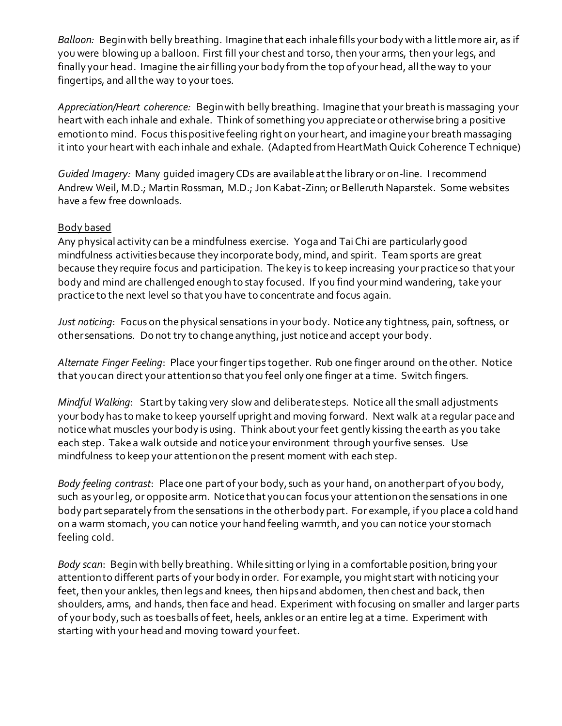*Balloon:* Begin with belly breathing. Imagine that each inhale fills your body with a little more air, as if you were blowing up a balloon. First fill your chest and torso, then your arms, then your legs, and finally your head. Imagine the air filling your body from the top of your head, all the way to your fingertips, and all the way to your toes.

*Appreciation/Heart coherence:* Begin with belly breathing. Imagine that your breath is massaging your heart with each inhale and exhale. Think of something you appreciate or otherwise bring a positive emotion to mind. Focus this positive feeling right on your heart, and imagine your breath massaging it into your heart with each inhale and exhale. (Adapted from HeartMath Quick Coherence T echnique)

*Guided Imagery:* Many guided imagery CDs are available at the library or on-line. I recommend Andrew Weil, M.D.; Martin Rossman, M.D.; Jon Kabat-Zinn; or Belleruth Naparstek. Some websites have a few free downloads.

# Body based

Any physical activity can be a mindfulness exercise. Yoga and Tai Chi are particularly good mindfulness activities because they incorporate body, mind, and spirit. Team sports are great because they require focus and participation. The key is to keep increasing your practice so that your body and mind are challenged enough to stay focused. If you find your mind wandering, take your practice to the next level so that you have to concentrate and focus again.

*Just noticing*: Focus on the physical sensations in your body. Notice any tightness, pain, softness, or other sensations. Do not try to change anything, just notice and accept your body.

*Alternate Finger Feeling*: Place your finger tips together. Rub one finger around on the other. Notice that you can direct your attention so that you feel only one finger at a time. Switch fingers.

*Mindful Walking*: Start by taking very slow and deliberate steps. Notice all the small adjustments your body has to make to keep yourself upright and moving forward. Next walk at a regular pace and notice what muscles your body is using. Think about your feet gently kissing the earth as you take each step. Take a walk outside and notice your environment through your five senses. Use mindfulness to keep your attention on the present moment with each step.

*Body feeling contrast*: Place one part of your body, such as your hand, on another part of you body, such as your leg, or opposite arm. Notice that you can focus your attention on the sensations in one body part separately from the sensations in the other body part. For example, if you place a cold hand on a warm stomach, you can notice your hand feeling warmth, and you can notice your stomach feeling cold.

*Body scan*: Begin with belly breathing. While sitting or lying in a comfortable position, bring your attention to different parts of your body in order. For example, you might start with noticing your feet, then your ankles, then legs and knees, then hips and abdomen, then chest and back, then shoulders, arms, and hands, then face and head. Experiment with focusing on smaller and larger parts of your body, such as toes balls of feet, heels, ankles or an entire leg at a time. Experiment with starting with your head and moving toward your feet.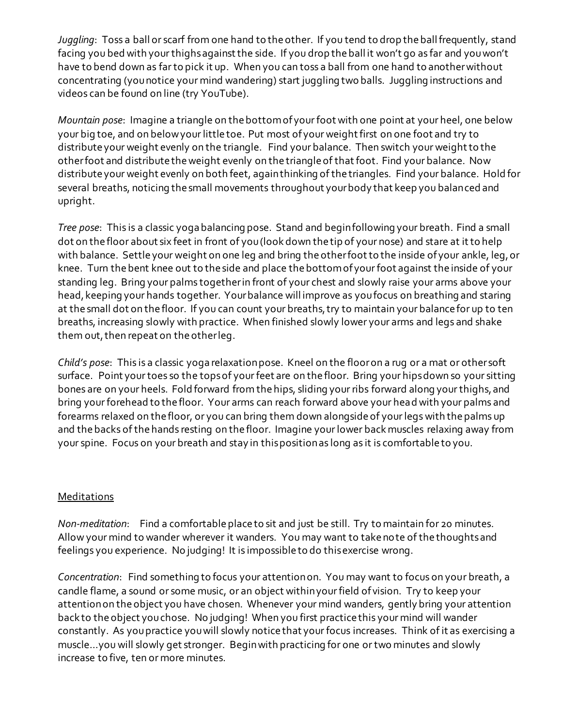*Juggling*: Toss a ball or scarf from one hand to the other. If you tend to drop the ball frequently, stand facing you bed with your thighs against the side. If you drop the ball it won't go as far and you won't have to bend down as far to pick it up. When you can toss a ball from one hand to another without concentrating (you notice your mind wandering) start juggling two balls. Juggling instructions and videos can be found on line (try YouTube).

*Mountain pose*: Imagine a triangle on the bottom of your foot with one point at your heel, one below your big toe, and on below your little toe. Put most of your weight first on one foot and try to distribute your weight evenly on the triangle. Find your balance. Then switch your weight to the other foot and distribute the weight evenly on the triangle of that foot. Find your balance. Now distribute your weight evenly on both feet, again thinking of the triangles. Find your balance. Hold for several breaths, noticing the small movements throughout your body that keep you balanced and upright.

*Tree pose*: This is a classic yoga balancing pose. Stand and begin following your breath. Find a small dot on the floor about six feet in front of you (look down the tip of your nose) and stare at it to help with balance. Settle your weight on one leg and bring the other foot to the inside of your ankle, leg, or knee. Turn the bent knee out to the side and place the bottom of your foot against the inside of your standing leg. Bring your palms together in front of your chest and slowly raise your arms above your head, keeping your hands together. Your balance will improve as you focus on breathing and staring at the small dot on the floor. If you can count your breaths, try to maintain your balance for up to ten breaths, increasing slowly with practice. When finished slowly lower your arms and legs and shake them out, then repeat on the other leg.

*Child's pose*: This is a classic yoga relaxation pose. Kneel on the floor on a rug or a mat or other soft surface. Point your toes so the tops of your feet are on the floor. Bring your hips down so your sitting bones are on your heels. Fold forward from the hips, sliding your ribs forward along your thighs, and bring your forehead to the floor. Your arms can reach forward above your head with your palms and forearms relaxed on the floor, or you can bring them down alongside of your legs with the palms up and the backs of the hands resting on the floor. Imagine your lower back muscles relaxing away from your spine. Focus on your breath and stay in this position as long as it is comfortable to you.

### Meditations

*Non-meditation*: Find a comfortable place to sit and just be still. Try to maintain for 20 minutes. Allow your mind to wander wherever it wanders. You may want to take no te of the thoughts and feelings you experience. No judging! It is impossible to do this exercise wrong.

*Concentration*: Find something to focus your attention on. You may want to focus on your breath, a candle flame, a sound or some music, or an object within your field of vision. Try to keep your attention on the object you have chosen. Whenever your mind wanders, gently bring your attention back to the object you chose. No judging! When you first practice this your mind will wander constantly. As you practice you will slowly notice that your focus increases. Think of it as exercising a muscle…you will slowly get stronger. Begin with practicing for one or two minutes and slowly increase to five, ten or more minutes.